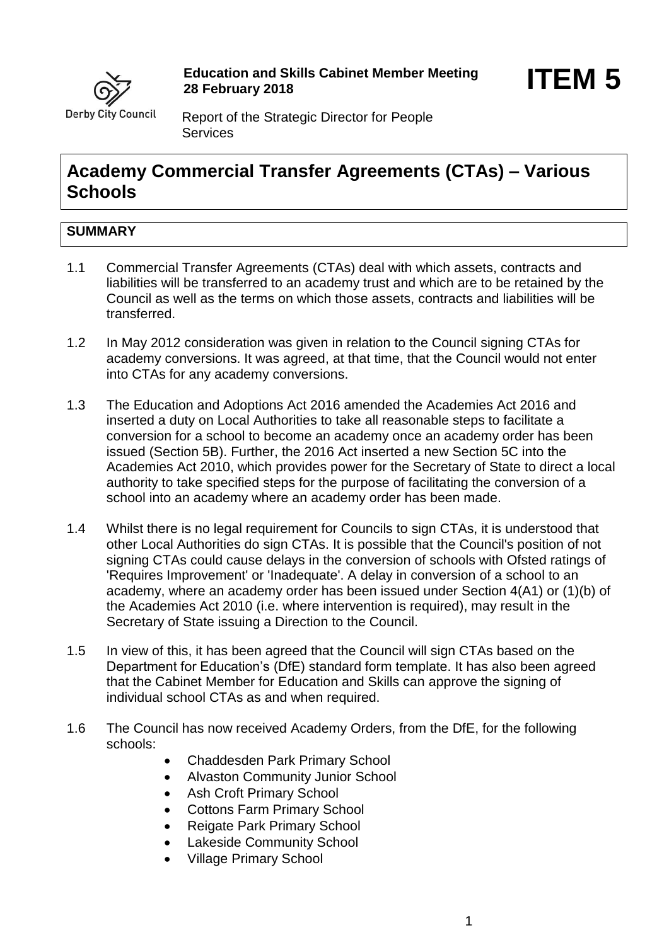

Report of the Strategic Director for People **Services** 

# **Academy Commercial Transfer Agreements (CTAs) – Various Schools**

# **SUMMARY**

- 1.1 Commercial Transfer Agreements (CTAs) deal with which assets, contracts and liabilities will be transferred to an academy trust and which are to be retained by the Council as well as the terms on which those assets, contracts and liabilities will be transferred.
- 1.2 In May 2012 consideration was given in relation to the Council signing CTAs for academy conversions. It was agreed, at that time, that the Council would not enter into CTAs for any academy conversions.
- 1.3 The Education and Adoptions Act 2016 amended the Academies Act 2016 and inserted a duty on Local Authorities to take all reasonable steps to facilitate a conversion for a school to become an academy once an academy order has been issued (Section 5B). Further, the 2016 Act inserted a new Section 5C into the Academies Act 2010, which provides power for the Secretary of State to direct a local authority to take specified steps for the purpose of facilitating the conversion of a school into an academy where an academy order has been made.
- 1.4 Whilst there is no legal requirement for Councils to sign CTAs, it is understood that other Local Authorities do sign CTAs. It is possible that the Council's position of not signing CTAs could cause delays in the conversion of schools with Ofsted ratings of 'Requires Improvement' or 'Inadequate'. A delay in conversion of a school to an academy, where an academy order has been issued under Section 4(A1) or (1)(b) of the Academies Act 2010 (i.e. where intervention is required), may result in the Secretary of State issuing a Direction to the Council.
- 1.5 In view of this, it has been agreed that the Council will sign CTAs based on the Department for Education's (DfE) standard form template. It has also been agreed that the Cabinet Member for Education and Skills can approve the signing of individual school CTAs as and when required.
- 1.6 The Council has now received Academy Orders, from the DfE, for the following schools:
	- Chaddesden Park Primary School
	- Alvaston Community Junior School
	- Ash Croft Primary School
	- Cottons Farm Primary School
	- Reigate Park Primary School
	- Lakeside Community School
	- Village Primary School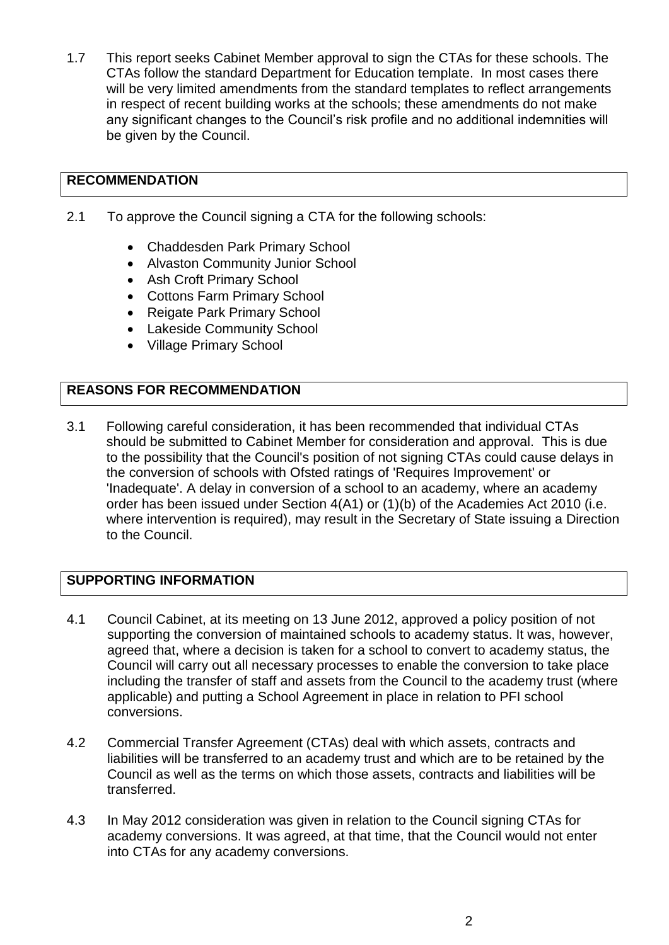1.7 This report seeks Cabinet Member approval to sign the CTAs for these schools. The CTAs follow the standard Department for Education template. In most cases there will be very limited amendments from the standard templates to reflect arrangements in respect of recent building works at the schools; these amendments do not make any significant changes to the Council's risk profile and no additional indemnities will be given by the Council.

# **RECOMMENDATION**

- 2.1 To approve the Council signing a CTA for the following schools:
	- Chaddesden Park Primary School
	- Alvaston Community Junior School
	- Ash Croft Primary School
	- Cottons Farm Primary School
	- Reigate Park Primary School
	- Lakeside Community School
	- Village Primary School

## **REASONS FOR RECOMMENDATION**

3.1 Following careful consideration, it has been recommended that individual CTAs should be submitted to Cabinet Member for consideration and approval. This is due to the possibility that the Council's position of not signing CTAs could cause delays in the conversion of schools with Ofsted ratings of 'Requires Improvement' or 'Inadequate'. A delay in conversion of a school to an academy, where an academy order has been issued under Section 4(A1) or (1)(b) of the Academies Act 2010 (i.e. where intervention is required), may result in the Secretary of State issuing a Direction to the Council.

### **SUPPORTING INFORMATION**

- 4.1 Council Cabinet, at its meeting on 13 June 2012, approved a policy position of not supporting the conversion of maintained schools to academy status. It was, however, agreed that, where a decision is taken for a school to convert to academy status, the Council will carry out all necessary processes to enable the conversion to take place including the transfer of staff and assets from the Council to the academy trust (where applicable) and putting a School Agreement in place in relation to PFI school conversions.
- 4.2 Commercial Transfer Agreement (CTAs) deal with which assets, contracts and liabilities will be transferred to an academy trust and which are to be retained by the Council as well as the terms on which those assets, contracts and liabilities will be transferred.
- 4.3 In May 2012 consideration was given in relation to the Council signing CTAs for academy conversions. It was agreed, at that time, that the Council would not enter into CTAs for any academy conversions.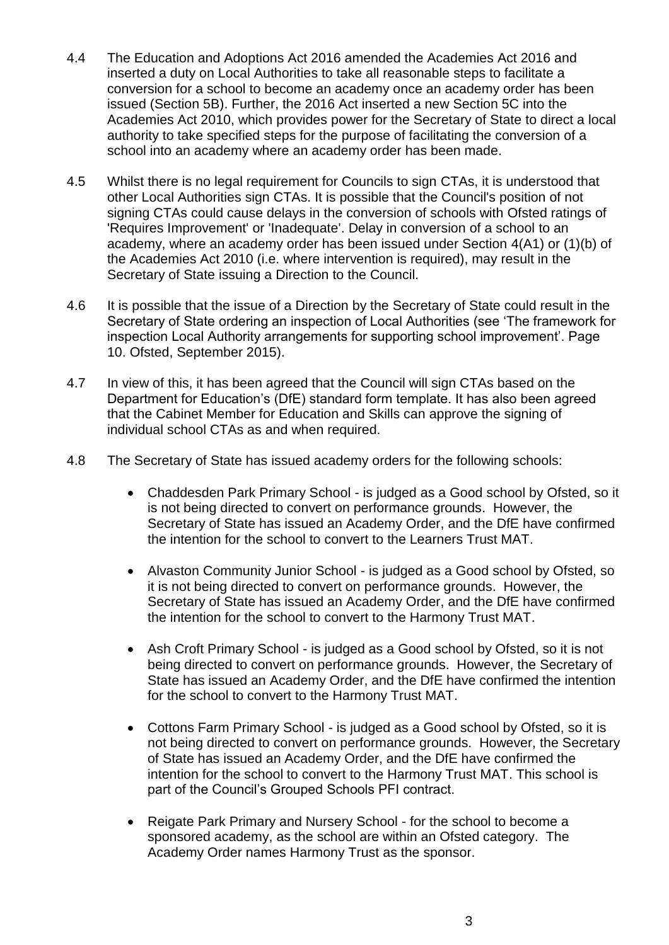- 4.4 The Education and Adoptions Act 2016 amended the Academies Act 2016 and inserted a duty on Local Authorities to take all reasonable steps to facilitate a conversion for a school to become an academy once an academy order has been issued (Section 5B). Further, the 2016 Act inserted a new Section 5C into the Academies Act 2010, which provides power for the Secretary of State to direct a local authority to take specified steps for the purpose of facilitating the conversion of a school into an academy where an academy order has been made.
- 4.5 Whilst there is no legal requirement for Councils to sign CTAs, it is understood that other Local Authorities sign CTAs. It is possible that the Council's position of not signing CTAs could cause delays in the conversion of schools with Ofsted ratings of 'Requires Improvement' or 'Inadequate'. Delay in conversion of a school to an academy, where an academy order has been issued under Section 4(A1) or (1)(b) of the Academies Act 2010 (i.e. where intervention is required), may result in the Secretary of State issuing a Direction to the Council.
- 4.6 It is possible that the issue of a Direction by the Secretary of State could result in the Secretary of State ordering an inspection of Local Authorities (see 'The framework for inspection Local Authority arrangements for supporting school improvement'. Page 10. Ofsted, September 2015).
- 4.7 In view of this, it has been agreed that the Council will sign CTAs based on the Department for Education's (DfE) standard form template. It has also been agreed that the Cabinet Member for Education and Skills can approve the signing of individual school CTAs as and when required.
- 4.8 The Secretary of State has issued academy orders for the following schools:
	- Chaddesden Park Primary School is judged as a Good school by Ofsted, so it is not being directed to convert on performance grounds. However, the Secretary of State has issued an Academy Order, and the DfE have confirmed the intention for the school to convert to the Learners Trust MAT.
	- Alvaston Community Junior School is judged as a Good school by Ofsted, so it is not being directed to convert on performance grounds. However, the Secretary of State has issued an Academy Order, and the DfE have confirmed the intention for the school to convert to the Harmony Trust MAT.
	- Ash Croft Primary School is judged as a Good school by Ofsted, so it is not being directed to convert on performance grounds. However, the Secretary of State has issued an Academy Order, and the DfE have confirmed the intention for the school to convert to the Harmony Trust MAT.
	- Cottons Farm Primary School is judged as a Good school by Ofsted, so it is not being directed to convert on performance grounds. However, the Secretary of State has issued an Academy Order, and the DfE have confirmed the intention for the school to convert to the Harmony Trust MAT. This school is part of the Council's Grouped Schools PFI contract.
	- Reigate Park Primary and Nursery School for the school to become a sponsored academy, as the school are within an Ofsted category. The Academy Order names Harmony Trust as the sponsor.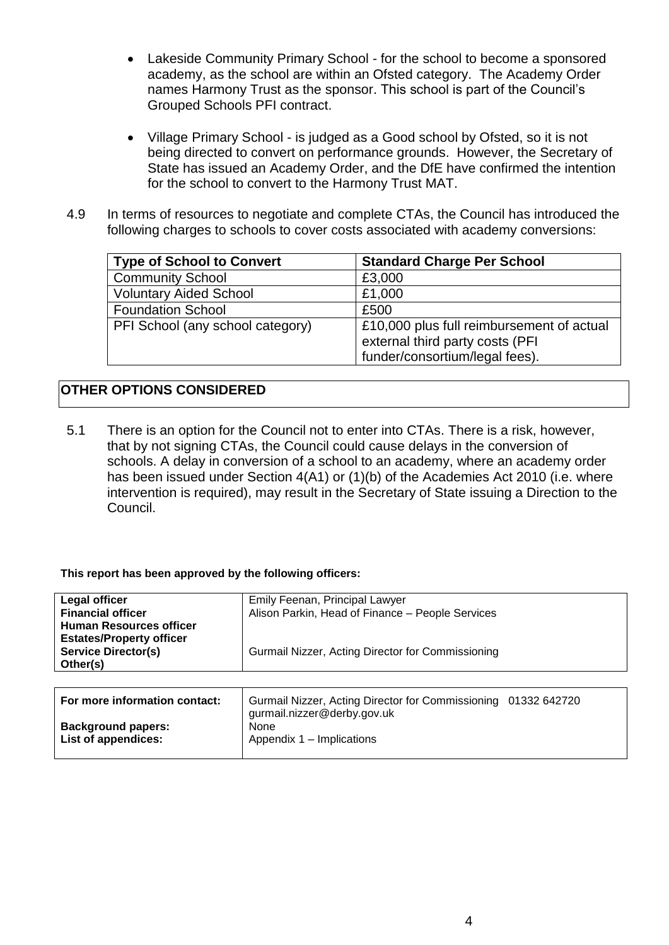- Lakeside Community Primary School for the school to become a sponsored academy, as the school are within an Ofsted category. The Academy Order names Harmony Trust as the sponsor. This school is part of the Council's Grouped Schools PFI contract.
- Village Primary School is judged as a Good school by Ofsted, so it is not being directed to convert on performance grounds. However, the Secretary of State has issued an Academy Order, and the DfE have confirmed the intention for the school to convert to the Harmony Trust MAT.
- 4.9 In terms of resources to negotiate and complete CTAs, the Council has introduced the following charges to schools to cover costs associated with academy conversions:

| <b>Type of School to Convert</b> | <b>Standard Charge Per School</b>                                            |  |
|----------------------------------|------------------------------------------------------------------------------|--|
| <b>Community School</b>          | £3,000                                                                       |  |
| <b>Voluntary Aided School</b>    | £1,000                                                                       |  |
| <b>Foundation School</b>         | £500                                                                         |  |
| PFI School (any school category) | £10,000 plus full reimbursement of actual<br>external third party costs (PFI |  |
|                                  | funder/consortium/legal fees).                                               |  |

# **OTHER OPTIONS CONSIDERED**

5.1 There is an option for the Council not to enter into CTAs. There is a risk, however, that by not signing CTAs, the Council could cause delays in the conversion of schools. A delay in conversion of a school to an academy, where an academy order has been issued under Section 4(A1) or (1)(b) of the Academies Act 2010 (i.e. where intervention is required), may result in the Secretary of State issuing a Direction to the Council.

#### **This report has been approved by the following officers:**

| Legal officer                   | Emily Feenan, Principal Lawyer                    |
|---------------------------------|---------------------------------------------------|
| <b>Financial officer</b>        | Alison Parkin, Head of Finance - People Services  |
| <b>Human Resources officer</b>  |                                                   |
| <b>Estates/Property officer</b> |                                                   |
| <b>Service Director(s)</b>      | Gurmail Nizzer, Acting Director for Commissioning |
| Other(s)                        |                                                   |
|                                 |                                                   |

| For more information contact:                    | Gurmail Nizzer, Acting Director for Commissioning 01332 642720<br>gurmail.nizzer@derby.gov.uk |  |
|--------------------------------------------------|-----------------------------------------------------------------------------------------------|--|
| <b>Background papers:</b><br>List of appendices: | None<br>Appendix 1 – Implications                                                             |  |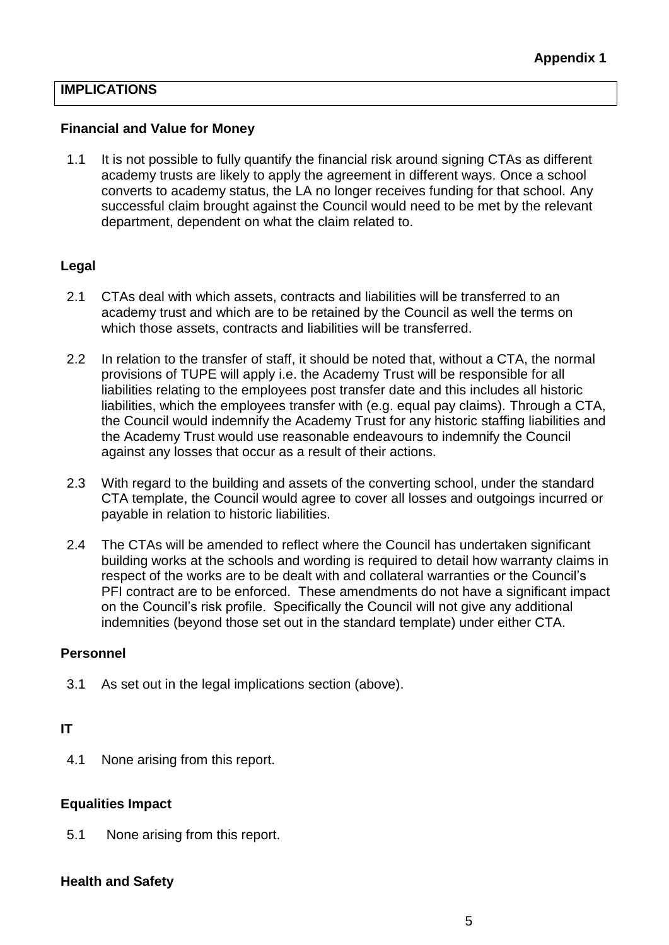## **IMPLICATIONS**

#### **Financial and Value for Money**

1.1 It is not possible to fully quantify the financial risk around signing CTAs as different academy trusts are likely to apply the agreement in different ways. Once a school converts to academy status, the LA no longer receives funding for that school. Any successful claim brought against the Council would need to be met by the relevant department, dependent on what the claim related to.

### **Legal**

- 2.1 CTAs deal with which assets, contracts and liabilities will be transferred to an academy trust and which are to be retained by the Council as well the terms on which those assets, contracts and liabilities will be transferred.
- 2.2 In relation to the transfer of staff, it should be noted that, without a CTA, the normal provisions of TUPE will apply i.e. the Academy Trust will be responsible for all liabilities relating to the employees post transfer date and this includes all historic liabilities, which the employees transfer with (e.g. equal pay claims). Through a CTA, the Council would indemnify the Academy Trust for any historic staffing liabilities and the Academy Trust would use reasonable endeavours to indemnify the Council against any losses that occur as a result of their actions.
- 2.3 With regard to the building and assets of the converting school, under the standard CTA template, the Council would agree to cover all losses and outgoings incurred or payable in relation to historic liabilities.
- 2.4 The CTAs will be amended to reflect where the Council has undertaken significant building works at the schools and wording is required to detail how warranty claims in respect of the works are to be dealt with and collateral warranties or the Council's PFI contract are to be enforced. These amendments do not have a significant impact on the Council's risk profile. Specifically the Council will not give any additional indemnities (beyond those set out in the standard template) under either CTA.

#### **Personnel**

3.1 As set out in the legal implications section (above).

### **IT**

4.1 None arising from this report.

#### **Equalities Impact**

5.1 None arising from this report.

#### **Health and Safety**